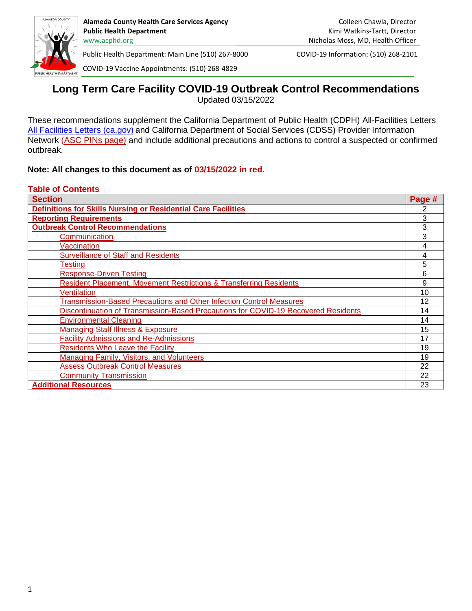

COVID-19 Vaccine Appointments: (510) 268-4829

# **Long Term Care Facility COVID-19 Outbreak Control Recommendations** Updated 03/15/2022

These recommendations supplement the California Department of Public Health (CDPH) All-Facilities Letters [All Facilities Letters \(ca.gov](https://www.cdph.ca.gov/programs/chcq/lcp/pages/lncafl.aspx)[\)](https://www.cdph.ca.gov/programs/chcq/lcp/pages/lncafl.aspx) and California Department of Social Services (CDSS) Provider Information Network [\(ASC PINs page\)](https://ccld.us20.list-manage.com/track/click?u=7590f8c3525ec889dfae162a3&id=88f8cd4063&e=0fe248d366) and include additional precautions and actions to control a suspected or confirmed outbreak.

#### **Note: All changes to this document as of 03/15/2022 in red.**

#### **Table of Contents**

| <b>Section</b>                                                                     | Page # |
|------------------------------------------------------------------------------------|--------|
| <b>Definitions for Skills Nursing or Residential Care Facilities</b>               |        |
| <b>Reporting Requirements</b>                                                      | 3      |
| <b>Outbreak Control Recommendations</b>                                            | 3      |
| Communication                                                                      | 3      |
| <b>Vaccination</b>                                                                 | 4      |
| <b>Surveillance of Staff and Residents</b>                                         | 4      |
| Testing                                                                            | 5      |
| <b>Response-Driven Testing</b>                                                     | 6      |
| <b>Resident Placement, Movement Restrictions &amp; Transferring Residents</b>      | 9      |
| Ventilation                                                                        | 10     |
| <b>Transmission-Based Precautions and Other Infection Control Measures</b>         | 12     |
| Discontinuation of Transmission-Based Precautions for COVID-19 Recovered Residents | 14     |
| <b>Environmental Cleaning</b>                                                      | 14     |
| <b>Managing Staff Illness &amp; Exposure</b>                                       | 15     |
| <b>Facility Admissions and Re-Admissions</b>                                       | 17     |
| <b>Residents Who Leave the Facility</b>                                            | 19     |
| <b>Managing Family, Visitors, and Volunteers</b>                                   | 19     |
| <b>Assess Outbreak Control Measures</b>                                            | 22     |
| <b>Community Transmission</b>                                                      | 22     |
| <b>Additional Resources</b>                                                        | 23     |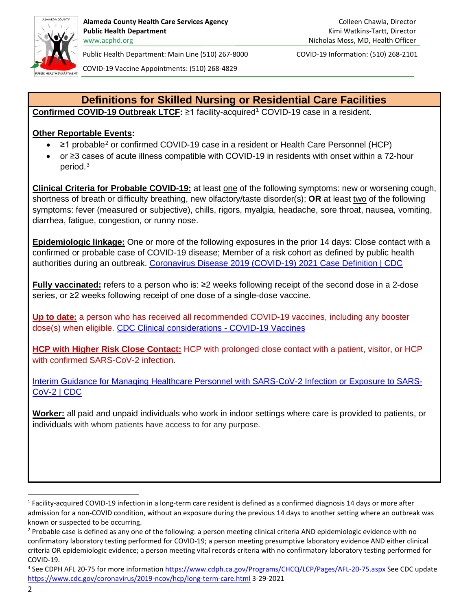

COVID-19 Vaccine Appointments: (510) 268-4829

# **Definitions for Skilled Nursing or Residential Care Facilities**

<span id="page-1-0"></span>**Confirmed COVID-[1](#page-1-1)9 Outbreak LTCF: ≥1 facility-acquired<sup>1</sup> COVID-19 case in a resident.** 

### **Other Reportable Events:**

- $\geq$  [2](#page-1-2)1 probable<sup>2</sup> or confirmed COVID-19 case in a resident or Health Care Personnel (HCP)
- or ≥3 cases of acute illness compatible with COVID-19 in residents with onset within a 72-hour period. [3](#page-1-3)

**Clinical Criteria for Probable COVID-19:** at least one of the following symptoms: new or worsening cough, shortness of breath or difficulty breathing, new olfactory/taste disorder(s); **OR** at least two of the following symptoms: fever (measured or subjective), chills, rigors, myalgia, headache, sore throat, nausea, vomiting, diarrhea, fatigue, congestion, or runny nose.

**Epidemiologic linkage:** One or more of the following exposures in the prior 14 days: Close contact with a confirmed or probable case of COVID-19 disease; Member of a risk cohort as defined by public health authorities during an outbreak. [Coronavirus Disease 2019 \(COVID-19\) 2021 Case Definition | CDC](https://ndc.services.cdc.gov/case-definitions/coronavirus-disease-2019-2021/)

**Fully vaccinated:** refers to a person who is: ≥2 weeks following receipt of the second dose in a 2-dose series, or ≥2 weeks following receipt of one dose of a single-dose vaccine.

**Up to date:** a person who has received all recommended COVID-19 vaccines, including any booster dose(s) when eligible. [CDC Clinical considerations - COVID-19 Vaccines](https://www.cdc.gov/vaccines/covid-19/clinical-considerations/covid-19-vaccines-us.html?CDC_AA_refVal=https%3A%2F%2Fwww.cdc.gov%2Fvaccines%2Fcovid-19%2Finfo-by-product%2Fclinical-considerations.html) 

**HCP with Higher Risk Close Contact:** HCP with prolonged close contact with a patient, visitor, or HCP with confirmed SARS-CoV-2 infection.

[Interim Guidance for Managing Healthcare Personnel with SARS-CoV-2 Infection or Exposure to SARS-](https://www.cdc.gov/coronavirus/2019-ncov/hcp/guidance-risk-assesment-hcp.html)[CoV-2 | CDC](https://www.cdc.gov/coronavirus/2019-ncov/hcp/guidance-risk-assesment-hcp.html)

**Worker:** all paid and unpaid individuals who work in indoor settings where care is provided to patients, or individuals with whom patients have access to for any purpose.

<span id="page-1-1"></span><sup>1</sup> Facility-acquired COVID-19 infection in a long-term care resident is defined as a confirmed diagnosis 14 days or more after admission for a non-COVID condition, without an exposure during the previous 14 days to another setting where an outbreak was known or suspected to be occurring.

<span id="page-1-2"></span><sup>&</sup>lt;sup>2</sup> Probable case is defined as any one of the following: a person meeting clinical criteria AND epidemiologic evidence with no confirmatory laboratory testing performed for COVID-19; a person meeting presumptive laboratory evidence AND either clinical criteria OR epidemiologic evidence; a person meeting vital records criteria with no confirmatory laboratory testing performed for COVID-19.

<span id="page-1-3"></span><sup>&</sup>lt;sup>3</sup> See CDPH AFL 20-75 for more informatio[n https://www.cdph.ca.gov/Programs/CHCQ/LCP/Pages/AFL-20-75.aspx](https://www.cdph.ca.gov/Programs/CHCQ/LCP/Pages/AFL-20-75.aspx) See CDC update <https://www.cdc.gov/coronavirus/2019-ncov/hcp/long-term-care.html>3-29-2021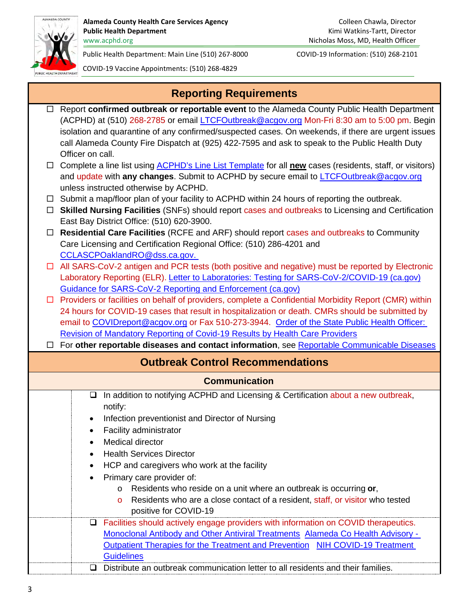

COVID-19 Vaccine Appointments: (510) 268-4829

<span id="page-2-0"></span>

|        | <b>Reporting Requirements</b>                                                                                                                                                                                                                                                                                                                                                                                           |  |  |  |  |
|--------|-------------------------------------------------------------------------------------------------------------------------------------------------------------------------------------------------------------------------------------------------------------------------------------------------------------------------------------------------------------------------------------------------------------------------|--|--|--|--|
| $\Box$ | Report confirmed outbreak or reportable event to the Alameda County Public Health Department<br>(ACPHD) at (510) 268-2785 or email LTCFOutbreak@acgov.org Mon-Fri 8:30 am to 5:00 pm. Begin<br>isolation and quarantine of any confirmed/suspected cases. On weekends, if there are urgent issues<br>call Alameda County Fire Dispatch at (925) 422-7595 and ask to speak to the Public Health Duty<br>Officer on call. |  |  |  |  |
|        | $\Box$ Complete a line list using ACPHD's Line List Template for all new cases (residents, staff, or visitors)<br>and update with any changes. Submit to ACPHD by secure email to <b>LTCFOutbreak@acgov.org</b><br>unless instructed otherwise by ACPHD.                                                                                                                                                                |  |  |  |  |
| $\Box$ | $\Box$ Submit a map/floor plan of your facility to ACPHD within 24 hours of reporting the outbreak.<br><b>Skilled Nursing Facilities</b> (SNFs) should report cases and outbreaks to Licensing and Certification<br>East Bay District Office: (510) 620-3900.                                                                                                                                                           |  |  |  |  |
| $\Box$ | Residential Care Facilities (RCFE and ARF) should report cases and outbreaks to Community<br>Care Licensing and Certification Regional Office: (510) 286-4201 and<br>CCLASCPOaklandRO@dss.ca.gov.                                                                                                                                                                                                                       |  |  |  |  |
|        | $\Box$ All SARS-CoV-2 antigen and PCR tests (both positive and negative) must be reported by Electronic<br>Laboratory Reporting (ELR). Letter to Laboratories: Testing for SARS-CoV-2/COVID-19 (ca.gov)<br>Guidance for SARS-CoV-2 Reporting and Enforcement (ca.gov)                                                                                                                                                   |  |  |  |  |
|        | $\Box$ Providers or facilities on behalf of providers, complete a Confidential Morbidity Report (CMR) within<br>24 hours for COVID-19 cases that result in hospitalization or death. CMRs should be submitted by<br>email to COVIDreport@acgov.org or Fax 510-273-3944. Order of the State Public Health Officer:                                                                                                       |  |  |  |  |
|        | Revision of Mandatory Reporting of Covid-19 Results by Health Care Providers<br>□ For other reportable diseases and contact information, see Reportable Communicable Diseases                                                                                                                                                                                                                                           |  |  |  |  |
|        | <b>Outbreak Control Recommendations</b>                                                                                                                                                                                                                                                                                                                                                                                 |  |  |  |  |
|        | <b>Communication</b>                                                                                                                                                                                                                                                                                                                                                                                                    |  |  |  |  |
|        | In addition to notifying ACPHD and Licensing & Certification about a new outbreak,<br>$\Box$<br>notify:<br>Infection preventionist and Director of Nursing<br>$\bullet$<br>Facility administrator                                                                                                                                                                                                                       |  |  |  |  |
|        | Medical director<br><b>Health Services Director</b><br>٠                                                                                                                                                                                                                                                                                                                                                                |  |  |  |  |
|        | HCP and caregivers who work at the facility<br>٠<br>Primary care provider of:<br>Residents who reside on a unit where an outbreak is occurring or,<br>$\circ$<br>Residents who are a close contact of a resident, staff, or visitor who tested<br>$\circ$<br>positive for COVID-19                                                                                                                                      |  |  |  |  |
|        | Facilities should actively engage providers with information on COVID therapeutics.<br>u<br>Monoclonal Antibody and Other Antiviral Treatments Alameda Co Health Advisory -<br><b>Outpatient Therapies for the Treatment and Prevention</b><br>NIH COVID-19 Treatment<br><b>Guidelines</b>                                                                                                                              |  |  |  |  |

<span id="page-2-2"></span><span id="page-2-1"></span>Distribute an outbreak communication letter to all residents and their families.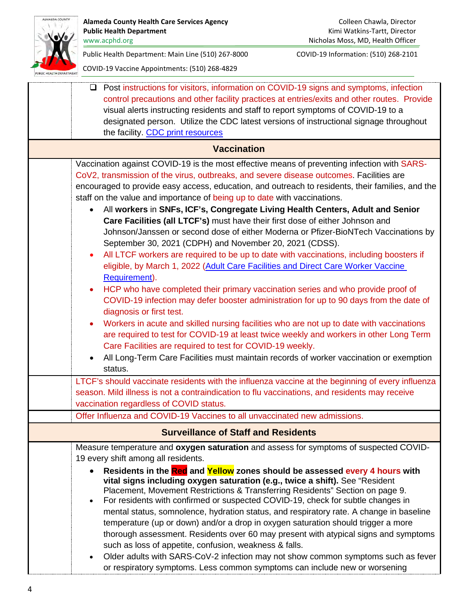<span id="page-3-1"></span><span id="page-3-0"></span>

| ALAMEDA COUNTY        | <b>Alameda County Health Care Services Agency</b><br><b>Public Health Department</b><br>www.acphd.org                                                                                                                                                                                                                                                                                                                                                                                                                                                                                                                                                                                                                                                                                                                                                                                                                                                                                                                                                                                                                                                                                                                                                                                                                 | Colleen Chawla, Director<br>Kimi Watkins-Tartt, Director<br>Nicholas Moss, MD, Health Officer |
|-----------------------|-----------------------------------------------------------------------------------------------------------------------------------------------------------------------------------------------------------------------------------------------------------------------------------------------------------------------------------------------------------------------------------------------------------------------------------------------------------------------------------------------------------------------------------------------------------------------------------------------------------------------------------------------------------------------------------------------------------------------------------------------------------------------------------------------------------------------------------------------------------------------------------------------------------------------------------------------------------------------------------------------------------------------------------------------------------------------------------------------------------------------------------------------------------------------------------------------------------------------------------------------------------------------------------------------------------------------|-----------------------------------------------------------------------------------------------|
|                       | Public Health Department: Main Line (510) 267-8000<br>COVID-19 Vaccine Appointments: (510) 268-4829                                                                                                                                                                                                                                                                                                                                                                                                                                                                                                                                                                                                                                                                                                                                                                                                                                                                                                                                                                                                                                                                                                                                                                                                                   | COVID-19 Information: (510) 268-2101                                                          |
| LIC HEALTH DEPARTMENT | Post instructions for visitors, information on COVID-19 signs and symptoms, infection<br>u.<br>control precautions and other facility practices at entries/exits and other routes. Provide<br>visual alerts instructing residents and staff to report symptoms of COVID-19 to a<br>designated person. Utilize the CDC latest versions of instructional signage throughout<br>the facility. CDC print resources                                                                                                                                                                                                                                                                                                                                                                                                                                                                                                                                                                                                                                                                                                                                                                                                                                                                                                        |                                                                                               |
|                       | <b>Vaccination</b>                                                                                                                                                                                                                                                                                                                                                                                                                                                                                                                                                                                                                                                                                                                                                                                                                                                                                                                                                                                                                                                                                                                                                                                                                                                                                                    |                                                                                               |
|                       | Vaccination against COVID-19 is the most effective means of preventing infection with SARS-<br>CoV2, transmission of the virus, outbreaks, and severe disease outcomes. Facilities are<br>encouraged to provide easy access, education, and outreach to residents, their families, and the<br>staff on the value and importance of being up to date with vaccinations.<br>All workers in SNFs, ICF's, Congregate Living Health Centers, Adult and Senior<br>$\bullet$<br>Care Facilities (all LTCF's) must have their first dose of either Johnson and<br>Johnson/Janssen or second dose of either Moderna or Pfizer-BioNTech Vaccinations by<br>September 30, 2021 (CDPH) and November 20, 2021 (CDSS).<br>All LTCF workers are required to be up to date with vaccinations, including boosters if<br>eligible, by March 1, 2022 (Adult Care Facilities and Direct Care Worker Vaccine<br>Requirement).<br>HCP who have completed their primary vaccination series and who provide proof of<br>$\bullet$<br>COVID-19 infection may defer booster administration for up to 90 days from the date of<br>diagnosis or first test.<br>Workers in acute and skilled nursing facilities who are not up to date with vaccinations<br>are required to test for COVID-19 at least twice weekly and workers in other Long Term |                                                                                               |
|                       | Care Facilities are required to test for COVID-19 weekly.<br>All Long-Term Care Facilities must maintain records of worker vaccination or exemption<br>status.                                                                                                                                                                                                                                                                                                                                                                                                                                                                                                                                                                                                                                                                                                                                                                                                                                                                                                                                                                                                                                                                                                                                                        |                                                                                               |
|                       | LTCF's should vaccinate residents with the influenza vaccine at the beginning of every influenza<br>season. Mild illness is not a contraindication to flu vaccinations, and residents may receive<br>vaccination regardless of COVID status.<br>Offer Influenza and COVID-19 Vaccines to all unvaccinated new admissions.                                                                                                                                                                                                                                                                                                                                                                                                                                                                                                                                                                                                                                                                                                                                                                                                                                                                                                                                                                                             |                                                                                               |
|                       |                                                                                                                                                                                                                                                                                                                                                                                                                                                                                                                                                                                                                                                                                                                                                                                                                                                                                                                                                                                                                                                                                                                                                                                                                                                                                                                       |                                                                                               |
|                       | <b>Surveillance of Staff and Residents</b><br>Measure temperature and oxygen saturation and assess for symptoms of suspected COVID-                                                                                                                                                                                                                                                                                                                                                                                                                                                                                                                                                                                                                                                                                                                                                                                                                                                                                                                                                                                                                                                                                                                                                                                   |                                                                                               |
|                       | 19 every shift among all residents.<br>Residents in the Red and Yellow zones should be assessed every 4 hours with<br>vital signs including oxygen saturation (e.g., twice a shift). See "Resident<br>Placement, Movement Restrictions & Transferring Residents" Section on page 9.<br>For residents with confirmed or suspected COVID-19, check for subtle changes in<br>٠<br>mental status, somnolence, hydration status, and respiratory rate. A change in baseline<br>temperature (up or down) and/or a drop in oxygen saturation should trigger a more<br>thorough assessment. Residents over 60 may present with atypical signs and symptoms<br>such as loss of appetite, confusion, weakness & falls.<br>Older adults with SARS-CoV-2 infection may not show common symptoms such as fever<br>$\bullet$<br>or respiratory symptoms. Less common symptoms can include new or worsening                                                                                                                                                                                                                                                                                                                                                                                                                          |                                                                                               |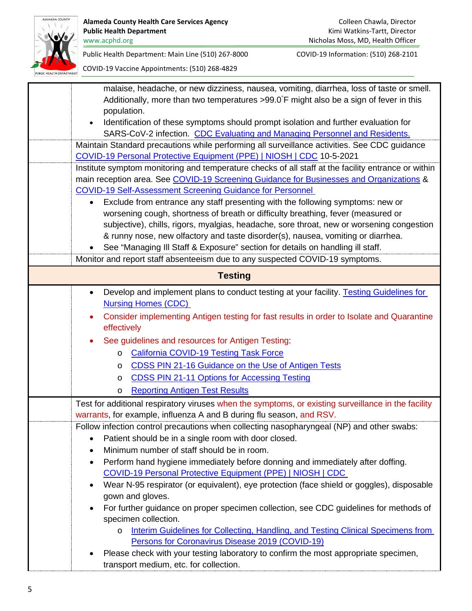

<span id="page-4-0"></span>

| malaise, headache, or new dizziness, nausea, vomiting, diarrhea, loss of taste or smell.                                                                                      |
|-------------------------------------------------------------------------------------------------------------------------------------------------------------------------------|
| Additionally, more than two temperatures >99.0°F might also be a sign of fever in this                                                                                        |
| population.                                                                                                                                                                   |
| Identification of these symptoms should prompt isolation and further evaluation for<br>$\bullet$                                                                              |
| SARS-CoV-2 infection. CDC Evaluating and Managing Personnel and Residents.                                                                                                    |
| Maintain Standard precautions while performing all surveillance activities. See CDC guidance                                                                                  |
| COVID-19 Personal Protective Equipment (PPE)   NIOSH   CDC 10-5-2021                                                                                                          |
| Institute symptom monitoring and temperature checks of all staff at the facility entrance or within                                                                           |
| main reception area. See COVID-19 Screening Guidance for Businesses and Organizations &                                                                                       |
| <b>COVID-19 Self-Assessment Screening Guidance for Personnel</b>                                                                                                              |
| Exclude from entrance any staff presenting with the following symptoms: new or<br>$\bullet$                                                                                   |
| worsening cough, shortness of breath or difficulty breathing, fever (measured or<br>subjective), chills, rigors, myalgias, headache, sore throat, new or worsening congestion |
| & runny nose, new olfactory and taste disorder(s), nausea, vomiting or diarrhea.                                                                                              |
| See "Managing III Staff & Exposure" section for details on handling ill staff.                                                                                                |
| Monitor and report staff absenteeism due to any suspected COVID-19 symptoms.                                                                                                  |
|                                                                                                                                                                               |
| <b>Testing</b>                                                                                                                                                                |
| Develop and implement plans to conduct testing at your facility. Testing Guidelines for<br>$\bullet$                                                                          |
| <b>Nursing Homes (CDC)</b>                                                                                                                                                    |
| Consider implementing Antigen testing for fast results in order to Isolate and Quarantine                                                                                     |
| effectively                                                                                                                                                                   |
| See guidelines and resources for Antigen Testing:                                                                                                                             |
| <b>California COVID-19 Testing Task Force</b><br>O                                                                                                                            |
| CDSS PIN 21-16 Guidance on the Use of Antigen Tests<br>O                                                                                                                      |
| <b>CDSS PIN 21-11 Options for Accessing Testing</b><br>O                                                                                                                      |
| <b>Reporting Antigen Test Results</b><br>O                                                                                                                                    |
| Test for additional respiratory viruses when the symptoms, or existing surveillance in the facility                                                                           |
| warrants, for example, influenza A and B during flu season, and RSV.                                                                                                          |
| Follow infection control precautions when collecting nasopharyngeal (NP) and other swabs:                                                                                     |
| Patient should be in a single room with door closed.<br>٠                                                                                                                     |
| Minimum number of staff should be in room.                                                                                                                                    |
| Perform hand hygiene immediately before donning and immediately after doffing.<br>$\bullet$                                                                                   |
| <b>COVID-19 Personal Protective Equipment (PPE)   NIOSH   CDC</b>                                                                                                             |
| Wear N-95 respirator (or equivalent), eye protection (face shield or goggles), disposable<br>$\bullet$                                                                        |
| gown and gloves.                                                                                                                                                              |
| For further guidance on proper specimen collection, see CDC guidelines for methods of<br>$\bullet$                                                                            |
| specimen collection.                                                                                                                                                          |
| Interim Guidelines for Collecting, Handling, and Testing Clinical Specimens from<br>O                                                                                         |
| Persons for Coronavirus Disease 2019 (COVID-19)                                                                                                                               |
| Please check with your testing laboratory to confirm the most appropriate specimen,                                                                                           |
| transport medium, etc. for collection.                                                                                                                                        |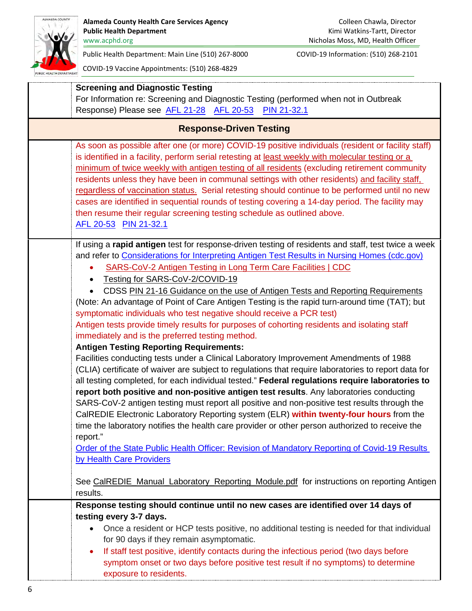

<span id="page-5-0"></span>

| <b>Screening and Diagnostic Testing</b><br>For Information re: Screening and Diagnostic Testing (performed when not in Outbreak<br>Response) Please see AFL 21-28 AFL 20-53<br>PIN 21-32.1                                                                                                                                                                                                                                                                                                                                                                                                                                                                                                                                                                                                                                                                                                                                                                                                                                                                                                                                                                                                                                                                                                                                                                                                                                                                                                                                                                                                                       |
|------------------------------------------------------------------------------------------------------------------------------------------------------------------------------------------------------------------------------------------------------------------------------------------------------------------------------------------------------------------------------------------------------------------------------------------------------------------------------------------------------------------------------------------------------------------------------------------------------------------------------------------------------------------------------------------------------------------------------------------------------------------------------------------------------------------------------------------------------------------------------------------------------------------------------------------------------------------------------------------------------------------------------------------------------------------------------------------------------------------------------------------------------------------------------------------------------------------------------------------------------------------------------------------------------------------------------------------------------------------------------------------------------------------------------------------------------------------------------------------------------------------------------------------------------------------------------------------------------------------|
| <b>Response-Driven Testing</b>                                                                                                                                                                                                                                                                                                                                                                                                                                                                                                                                                                                                                                                                                                                                                                                                                                                                                                                                                                                                                                                                                                                                                                                                                                                                                                                                                                                                                                                                                                                                                                                   |
| As soon as possible after one (or more) COVID-19 positive individuals (resident or facility staff)<br>is identified in a facility, perform serial retesting at least weekly with molecular testing or a<br>minimum of twice weekly with antigen testing of all residents (excluding retirement community<br>residents unless they have been in communal settings with other residents) and facility staff,<br>regardless of vaccination status. Serial retesting should continue to be performed until no new<br>cases are identified in sequential rounds of testing covering a 14-day period. The facility may<br>then resume their regular screening testing schedule as outlined above.<br>AFL 20-53 PIN 21-32.1                                                                                                                                                                                                                                                                                                                                                                                                                                                                                                                                                                                                                                                                                                                                                                                                                                                                                             |
| If using a rapid antigen test for response-driven testing of residents and staff, test twice a week<br>and refer to Considerations for Interpreting Antigen Test Results in Nursing Homes (cdc.gov)<br>SARS-CoV-2 Antigen Testing in Long Term Care Facilities   CDC<br>Testing for SARS-CoV-2/COVID-19<br>CDSS PIN 21-16 Guidance on the use of Antigen Tests and Reporting Requirements<br>(Note: An advantage of Point of Care Antigen Testing is the rapid turn-around time (TAT); but<br>symptomatic individuals who test negative should receive a PCR test)<br>Antigen tests provide timely results for purposes of cohorting residents and isolating staff<br>immediately and is the preferred testing method.<br><b>Antigen Testing Reporting Requirements:</b><br>Facilities conducting tests under a Clinical Laboratory Improvement Amendments of 1988<br>(CLIA) certificate of waiver are subject to regulations that require laboratories to report data for<br>all testing completed, for each individual tested." Federal regulations require laboratories to<br>report both positive and non-positive antigen test results. Any laboratories conducting<br>SARS-CoV-2 antigen testing must report all positive and non-positive test results through the<br>CalREDIE Electronic Laboratory Reporting system (ELR) within twenty-four hours from the<br>time the laboratory notifies the health care provider or other person authorized to receive the<br>report."<br>Order of the State Public Health Officer: Revision of Mandatory Reporting of Covid-19 Results<br>by Health Care Providers |
| See CalREDIE_Manual_Laboratory_Reporting_Module.pdf for instructions on reporting Antigen<br>results.                                                                                                                                                                                                                                                                                                                                                                                                                                                                                                                                                                                                                                                                                                                                                                                                                                                                                                                                                                                                                                                                                                                                                                                                                                                                                                                                                                                                                                                                                                            |
| Response testing should continue until no new cases are identified over 14 days of<br>testing every 3-7 days.<br>Once a resident or HCP tests positive, no additional testing is needed for that individual<br>$\bullet$<br>for 90 days if they remain asymptomatic.<br>If staff test positive, identify contacts during the infectious period (two days before<br>$\bullet$<br>symptom onset or two days before positive test result if no symptoms) to determine<br>exposure to residents.                                                                                                                                                                                                                                                                                                                                                                                                                                                                                                                                                                                                                                                                                                                                                                                                                                                                                                                                                                                                                                                                                                                     |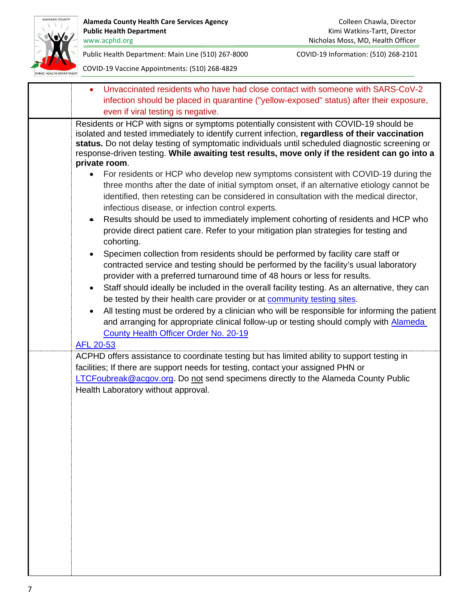

| Unvaccinated residents who have had close contact with someone with SARS-CoV-2<br>$\bullet$                                                                                                                                                                                                                                                                                                  |
|----------------------------------------------------------------------------------------------------------------------------------------------------------------------------------------------------------------------------------------------------------------------------------------------------------------------------------------------------------------------------------------------|
| infection should be placed in quarantine ("yellow-exposed" status) after their exposure,                                                                                                                                                                                                                                                                                                     |
| even if viral testing is negative.                                                                                                                                                                                                                                                                                                                                                           |
| Residents or HCP with signs or symptoms potentially consistent with COVID-19 should be<br>isolated and tested immediately to identify current infection, regardless of their vaccination<br>status. Do not delay testing of symptomatic individuals until scheduled diagnostic screening or<br>response-driven testing. While awaiting test results, move only if the resident can go into a |
| private room.                                                                                                                                                                                                                                                                                                                                                                                |
| For residents or HCP who develop new symptoms consistent with COVID-19 during the<br>three months after the date of initial symptom onset, if an alternative etiology cannot be<br>identified, then retesting can be considered in consultation with the medical director,<br>infectious disease, or infection control experts.                                                              |
| Results should be used to immediately implement cohorting of residents and HCP who<br>۰<br>provide direct patient care. Refer to your mitigation plan strategies for testing and<br>cohorting.                                                                                                                                                                                               |
| Specimen collection from residents should be performed by facility care staff or<br>$\bullet$<br>contracted service and testing should be performed by the facility's usual laboratory<br>provider with a preferred turnaround time of 48 hours or less for results.                                                                                                                         |
| Staff should ideally be included in the overall facility testing. As an alternative, they can<br>be tested by their health care provider or at community testing sites.                                                                                                                                                                                                                      |
| All testing must be ordered by a clinician who will be responsible for informing the patient                                                                                                                                                                                                                                                                                                 |
| and arranging for appropriate clinical follow-up or testing should comply with Alameda<br>County Health Officer Order No. 20-19<br>AFL 20-53                                                                                                                                                                                                                                                 |
| ACPHD offers assistance to coordinate testing but has limited ability to support testing in                                                                                                                                                                                                                                                                                                  |
| facilities; If there are support needs for testing, contact your assigned PHN or                                                                                                                                                                                                                                                                                                             |
| LTCFoubreak@acgov.org. Do not send specimens directly to the Alameda County Public                                                                                                                                                                                                                                                                                                           |
| Health Laboratory without approval.                                                                                                                                                                                                                                                                                                                                                          |
|                                                                                                                                                                                                                                                                                                                                                                                              |
|                                                                                                                                                                                                                                                                                                                                                                                              |
|                                                                                                                                                                                                                                                                                                                                                                                              |
|                                                                                                                                                                                                                                                                                                                                                                                              |
|                                                                                                                                                                                                                                                                                                                                                                                              |
|                                                                                                                                                                                                                                                                                                                                                                                              |
|                                                                                                                                                                                                                                                                                                                                                                                              |
|                                                                                                                                                                                                                                                                                                                                                                                              |
|                                                                                                                                                                                                                                                                                                                                                                                              |
|                                                                                                                                                                                                                                                                                                                                                                                              |
|                                                                                                                                                                                                                                                                                                                                                                                              |
|                                                                                                                                                                                                                                                                                                                                                                                              |
|                                                                                                                                                                                                                                                                                                                                                                                              |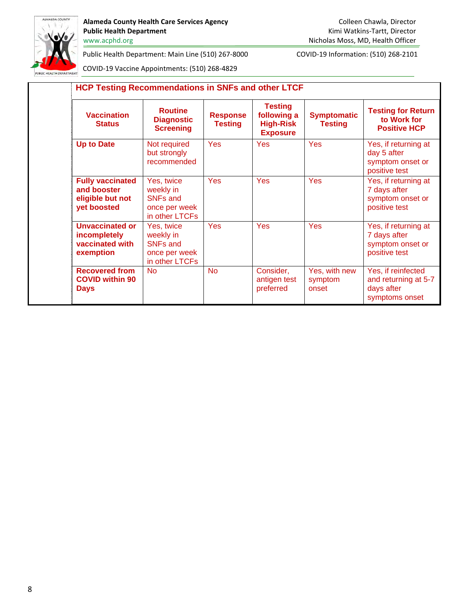

Alameda County Health Care Services Agency **Colleen Chawla, Director** Colleen Chawla, Director Public Health Department **Public Health Department Kimi Watkins-Tartt, Director** 

Public Health Department: Main Line (510) 267-8000 COVID-19 Information: (510) 268-2101

| <b>Vaccination</b><br><b>Status</b>                                       | <b>Routine</b><br><b>Diagnostic</b><br><b>Screening</b>                       | <b>Response</b><br><b>Testing</b> | <b>Testing</b><br>following a<br><b>High-Risk</b><br><b>Exposure</b> | <b>Symptomatic</b><br><b>Testing</b> | <b>Testing for Return</b><br>to Work for<br><b>Positive HCP</b>            |
|---------------------------------------------------------------------------|-------------------------------------------------------------------------------|-----------------------------------|----------------------------------------------------------------------|--------------------------------------|----------------------------------------------------------------------------|
| <b>Up to Date</b>                                                         | Not required<br>but strongly<br>recommended                                   | Yes                               | <b>Yes</b>                                                           | Yes                                  | Yes, if returning at<br>day 5 after<br>symptom onset or<br>positive test   |
| <b>Fully vaccinated</b><br>and booster<br>eligible but not<br>yet boosted | Yes, twice<br>weekly in<br><b>SNFs and</b><br>once per week<br>in other LTCFs | <b>Yes</b>                        | <b>Yes</b>                                                           | Yes                                  | Yes, if returning at<br>7 days after<br>symptom onset or<br>positive test  |
| <b>Unvaccinated or</b><br>incompletely<br>vaccinated with<br>exemption    | Yes, twice<br>weekly in<br><b>SNFs and</b><br>once per week<br>in other LTCFs | Yes                               | Yes                                                                  | Yes                                  | Yes, if returning at<br>7 days after<br>symptom onset or<br>positive test  |
| <b>Recovered from</b><br><b>COVID within 90</b><br><b>Days</b>            | <b>No</b>                                                                     | <b>No</b>                         | Consider,<br>antigen test<br>preferred                               | Yes, with new<br>symptom<br>onset    | Yes, if reinfected<br>and returning at 5-7<br>days after<br>symptoms onset |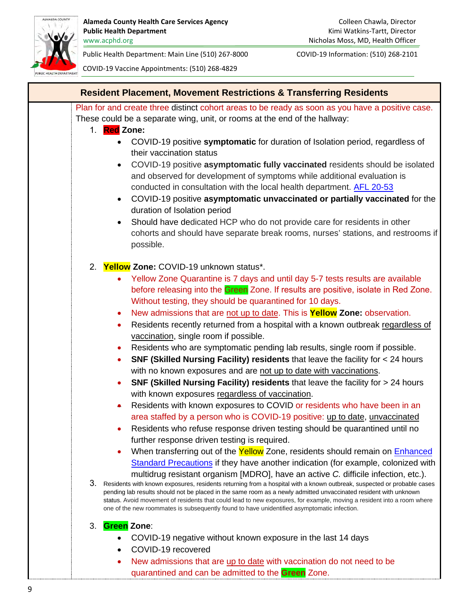

<span id="page-8-0"></span>

| <b>Resident Placement, Movement Restrictions &amp; Transferring Residents</b>                                                                                                                                                                                                                                                                                                                                                                                          |
|------------------------------------------------------------------------------------------------------------------------------------------------------------------------------------------------------------------------------------------------------------------------------------------------------------------------------------------------------------------------------------------------------------------------------------------------------------------------|
| Plan for and create three distinct cohort areas to be ready as soon as you have a positive case.<br>These could be a separate wing, unit, or rooms at the end of the hallway:<br><b>Red</b> Zone:<br>$1_{-}$                                                                                                                                                                                                                                                           |
| COVID-19 positive symptomatic for duration of Isolation period, regardless of<br>their vaccination status                                                                                                                                                                                                                                                                                                                                                              |
| COVID-19 positive asymptomatic fully vaccinated residents should be isolated<br>$\bullet$<br>and observed for development of symptoms while additional evaluation is<br>conducted in consultation with the local health department. AFL 20-53<br>COVID-19 positive asymptomatic unvaccinated or partially vaccinated for the<br>$\bullet$                                                                                                                              |
| duration of Isolation period<br>Should have dedicated HCP who do not provide care for residents in other<br>$\bullet$<br>cohorts and should have separate break rooms, nurses' stations, and restrooms if<br>possible.                                                                                                                                                                                                                                                 |
| 2. Yellow Zone: COVID-19 unknown status*.                                                                                                                                                                                                                                                                                                                                                                                                                              |
| Yellow Zone Quarantine is 7 days and until day 5-7 tests results are available<br>before releasing into the Green Zone. If results are positive, isolate in Red Zone.<br>Without testing, they should be quarantined for 10 days.                                                                                                                                                                                                                                      |
| New admissions that are not up to date. This is <b>Yellow Zone:</b> observation.<br>$\bullet$<br>Residents recently returned from a hospital with a known outbreak regardless of<br>$\bullet$<br>vaccination, single room if possible.                                                                                                                                                                                                                                 |
| Residents who are symptomatic pending lab results, single room if possible.                                                                                                                                                                                                                                                                                                                                                                                            |
| <b>SNF (Skilled Nursing Facility) residents that leave the facility for <math>&lt;</math> 24 hours</b>                                                                                                                                                                                                                                                                                                                                                                 |
| with no known exposures and are not up to date with vaccinations.<br>SNF (Skilled Nursing Facility) residents that leave the facility for > 24 hours                                                                                                                                                                                                                                                                                                                   |
| with known exposures regardless of vaccination.                                                                                                                                                                                                                                                                                                                                                                                                                        |
| Residents with known exposures to COVID or residents who have been in an<br>$\bullet$                                                                                                                                                                                                                                                                                                                                                                                  |
| area staffed by a person who is COVID-19 positive: up to date, unvaccinated                                                                                                                                                                                                                                                                                                                                                                                            |
| Residents who refuse response driven testing should be quarantined until no                                                                                                                                                                                                                                                                                                                                                                                            |
| further response driven testing is required.                                                                                                                                                                                                                                                                                                                                                                                                                           |
| When transferring out of the Yellow Zone, residents should remain on Enhanced<br>Standard Precautions if they have another indication (for example, colonized with<br>multidrug resistant organism [MDRO], have an active C. difficile infection, etc.).                                                                                                                                                                                                               |
| 3. Residents with known exposures, residents returning from a hospital with a known outbreak, suspected or probable cases<br>pending lab results should not be placed in the same room as a newly admitted unvaccinated resident with unknown<br>status. Avoid movement of residents that could lead to new exposures, for example, moving a resident into a room where<br>one of the new roommates is subsequently found to have unidentified asymptomatic infection. |
| <b>Green Zone:</b><br>3.                                                                                                                                                                                                                                                                                                                                                                                                                                               |
| COVID-19 negative without known exposure in the last 14 days                                                                                                                                                                                                                                                                                                                                                                                                           |
| COVID-19 recovered                                                                                                                                                                                                                                                                                                                                                                                                                                                     |
| New admissions that are up to date with vaccination do not need to be                                                                                                                                                                                                                                                                                                                                                                                                  |
| quarantined and can be admitted to the Green Zone.                                                                                                                                                                                                                                                                                                                                                                                                                     |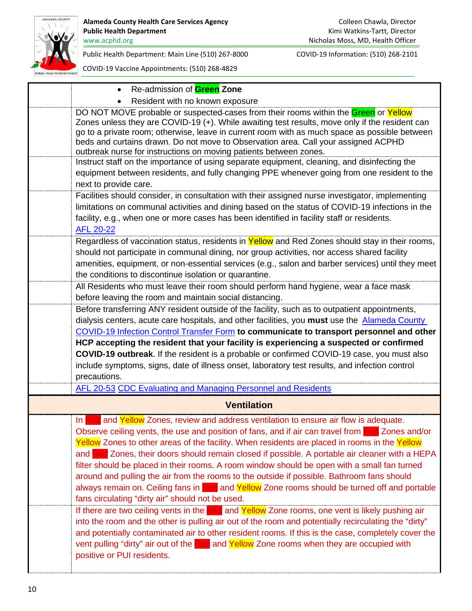

<span id="page-9-0"></span>

| Re-admission of <b>Green</b> Zone                                                                                                                                                                                                                                                                                                                                                                                                                                                                                                                                                                                                                                                                                                                   |
|-----------------------------------------------------------------------------------------------------------------------------------------------------------------------------------------------------------------------------------------------------------------------------------------------------------------------------------------------------------------------------------------------------------------------------------------------------------------------------------------------------------------------------------------------------------------------------------------------------------------------------------------------------------------------------------------------------------------------------------------------------|
| Resident with no known exposure                                                                                                                                                                                                                                                                                                                                                                                                                                                                                                                                                                                                                                                                                                                     |
| DO NOT MOVE probable or suspected-cases from their rooms within the Green or Yellow<br>Zones unless they are COVID-19 (+). While awaiting test results, move only if the resident can<br>go to a private room; otherwise, leave in current room with as much space as possible between<br>beds and curtains drawn. Do not move to Observation area. Call your assigned ACPHD<br>outbreak nurse for instructions on moving patients between zones.                                                                                                                                                                                                                                                                                                   |
| Instruct staff on the importance of using separate equipment, cleaning, and disinfecting the<br>equipment between residents, and fully changing PPE whenever going from one resident to the<br>next to provide care.                                                                                                                                                                                                                                                                                                                                                                                                                                                                                                                                |
| Facilities should consider, in consultation with their assigned nurse investigator, implementing<br>limitations on communal activities and dining based on the status of COVID-19 infections in the<br>facility, e.g., when one or more cases has been identified in facility staff or residents.<br><b>AFL 20-22</b>                                                                                                                                                                                                                                                                                                                                                                                                                               |
| Regardless of vaccination status, residents in Yellow and Red Zones should stay in their rooms,<br>should not participate in communal dining, nor group activities, nor access shared facility<br>amenities, equipment, or non-essential services (e.g., salon and barber services) until they meet<br>the conditions to discontinue isolation or quarantine.                                                                                                                                                                                                                                                                                                                                                                                       |
| All Residents who must leave their room should perform hand hygiene, wear a face mask<br>before leaving the room and maintain social distancing.                                                                                                                                                                                                                                                                                                                                                                                                                                                                                                                                                                                                    |
| Before transferring ANY resident outside of the facility, such as to outpatient appointments,<br>dialysis centers, acute care hospitals, and other facilities, you must use the Alameda County<br>COVID-19 Infection Control Transfer Form to communicate to transport personnel and other                                                                                                                                                                                                                                                                                                                                                                                                                                                          |
| HCP accepting the resident that your facility is experiencing a suspected or confirmed<br>COVID-19 outbreak. If the resident is a probable or confirmed COVID-19 case, you must also<br>include symptoms, signs, date of illness onset, laboratory test results, and infection control<br>precautions.                                                                                                                                                                                                                                                                                                                                                                                                                                              |
| AFL 20-53 CDC Evaluating and Managing Personnel and Residents                                                                                                                                                                                                                                                                                                                                                                                                                                                                                                                                                                                                                                                                                       |
| <b>Ventilation</b>                                                                                                                                                                                                                                                                                                                                                                                                                                                                                                                                                                                                                                                                                                                                  |
| and Yellow Zones, review and address ventilation to ensure air flow is adequate.<br>In I<br>Observe ceiling vents, the use and position of fans, and if air can travel from Red Zones and/or<br>Yellow Zones to other areas of the facility. When residents are placed in rooms in the Yellow<br>and Red Zones, their doors should remain closed if possible. A portable air cleaner with a HEPA<br>filter should be placed in their rooms. A room window should be open with a small fan turned<br>around and pulling the air from the rooms to the outside if possible. Bathroom fans should<br>always remain on. Ceiling fans in Red and Yellow Zone rooms should be turned off and portable<br>fans circulating "dirty air" should not be used. |
| If there are two ceiling vents in the Red and Yellow Zone rooms, one vent is likely pushing air<br>into the room and the other is pulling air out of the room and potentially recirculating the "dirty"<br>and potentially contaminated air to other resident rooms. If this is the case, completely cover the<br>vent pulling "dirty" air out of the $\mathbb{R}$ ed and Yellow Zone rooms when they are occupied with<br>positive or PUI residents.                                                                                                                                                                                                                                                                                               |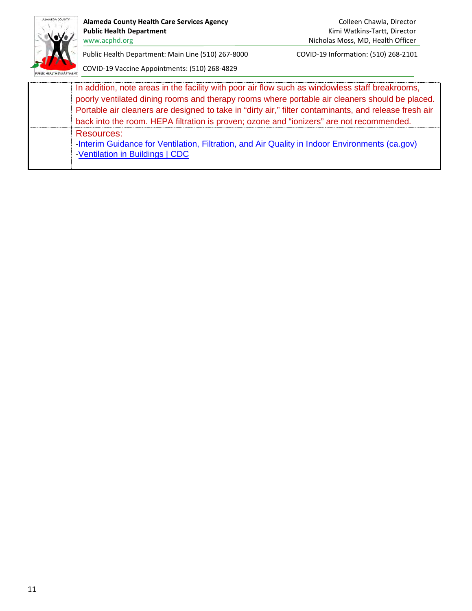

Alameda County Health Care Services Agency **Colleen Chawla, Director** Colleen Chawla, Director Public Health Department **Public Health Department Kimi Watkins-Tartt, Director** 

www.acphd.org Nicholas Moss, MD, Health Officer

Public Health Department: Main Line (510) 267-8000 COVID-19 Information: (510) 268-2101

| In addition, note areas in the facility with poor air flow such as windowless staff breakrooms,<br>poorly ventilated dining rooms and therapy rooms where portable air cleaners should be placed. |
|---------------------------------------------------------------------------------------------------------------------------------------------------------------------------------------------------|
| Portable air cleaners are designed to take in "dirty air," filter contaminants, and release fresh air                                                                                             |
| back into the room. HEPA filtration is proven; ozone and "ionizers" are not recommended.                                                                                                          |
| Resources:<br>-Interim Guidance for Ventilation, Filtration, and Air Quality in Indoor Environments (ca.gov)<br>-Ventilation in Buildings   CDC                                                   |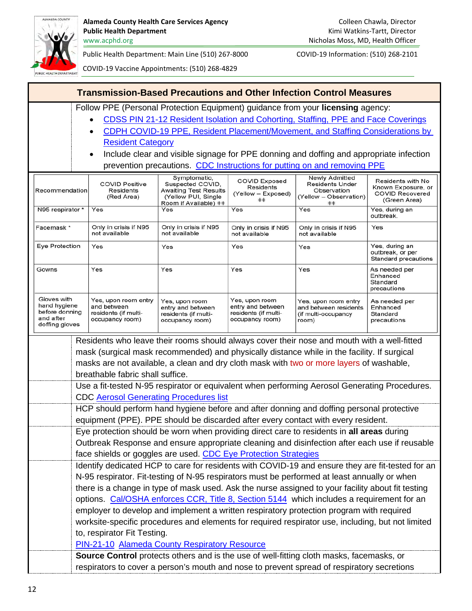

<span id="page-11-0"></span>

| <b>Transmission-Based Precautions and Other Infection Control Measures</b>   |                                                                                                                                                                                                                                                                                                                                                                                                                                                                                                                                                                                 |                                                                                |                                                                                |                                                                               |                                                                   |
|------------------------------------------------------------------------------|---------------------------------------------------------------------------------------------------------------------------------------------------------------------------------------------------------------------------------------------------------------------------------------------------------------------------------------------------------------------------------------------------------------------------------------------------------------------------------------------------------------------------------------------------------------------------------|--------------------------------------------------------------------------------|--------------------------------------------------------------------------------|-------------------------------------------------------------------------------|-------------------------------------------------------------------|
|                                                                              | Follow PPE (Personal Protection Equipment) guidance from your licensing agency:<br>CDSS PIN 21-12 Resident Isolation and Cohorting, Staffing, PPE and Face Coverings<br>CDPH COVID-19 PPE, Resident Placement/Movement, and Staffing Considerations by<br><b>Resident Category</b><br>Include clear and visible signage for PPE donning and doffing and appropriate infection<br>prevention precautions. CDC Instructions for putting on and removing PPE                                                                                                                       |                                                                                |                                                                                |                                                                               |                                                                   |
|                                                                              | Newly Admitted<br>Symptomatic,<br><b>COVID Exposed</b><br>Residents with No<br><b>COVID Positive</b><br>Suspected COVID,<br><b>Residents Under</b><br><b>Residents</b><br><b>Awaiting Test Results</b><br>Recommendation<br><b>Residents</b><br>Observation<br>(Yellow - Exposed)<br><b>COVID Recovered</b><br>(Yellow PUI, Single<br>(Red Area)<br>(Yellow - Observation)<br>$^{++}$                                                                                                                                                                                           |                                                                                |                                                                                |                                                                               | Known Exposure, or<br>(Green Area)                                |
| N95 respirator *                                                             | Yes                                                                                                                                                                                                                                                                                                                                                                                                                                                                                                                                                                             | Room if Available) ##<br>Yes                                                   | Yes                                                                            | $^{++}$<br>Yes                                                                | Yes, during an<br>outbreak.                                       |
| Facemask *                                                                   | Only in crisis if N95<br>not available                                                                                                                                                                                                                                                                                                                                                                                                                                                                                                                                          | Only in crisis if N95<br>not available                                         | Only in crisis if N95<br>not available                                         | Only in crisis if N95<br>not available                                        | Yes                                                               |
| Eye Protection                                                               | Yes                                                                                                                                                                                                                                                                                                                                                                                                                                                                                                                                                                             | Yes                                                                            | Yes                                                                            | Yes                                                                           | Yes, during an<br>outbreak, or per<br><b>Standard precautions</b> |
| Gowns                                                                        | Yes                                                                                                                                                                                                                                                                                                                                                                                                                                                                                                                                                                             | Yes                                                                            | Yes                                                                            | Yes                                                                           | As needed per<br>Enhanced<br>Standard<br>precautions              |
| Gloves with<br>hand hygiene<br>before donning<br>and after<br>doffing gloves | Yes, upon room entry<br>and between<br>residents (if multi-<br>occupancy room)                                                                                                                                                                                                                                                                                                                                                                                                                                                                                                  | Yes, upon room<br>entry and between<br>residents (if multi-<br>occupancy room) | Yes, upon room<br>entry and between<br>residents (if multi-<br>occupancy room) | Yes, upon room entry<br>and between residents<br>(if multi-occupancy<br>room) | As needed per<br>Enhanced<br>Standard<br>precautions              |
|                                                                              | Residents who leave their rooms should always cover their nose and mouth with a well-fitted<br>mask (surgical mask recommended) and physically distance while in the facility. If surgical<br>masks are not available, a clean and dry cloth mask with two or more layers of washable,<br>breathable fabric shall suffice.<br>Use a fit-tested N-95 respirator or equivalent when performing Aerosol Generating Procedures.                                                                                                                                                     |                                                                                |                                                                                |                                                                               |                                                                   |
|                                                                              | <b>CDC Aerosol Generating Procedures list</b>                                                                                                                                                                                                                                                                                                                                                                                                                                                                                                                                   |                                                                                |                                                                                |                                                                               |                                                                   |
|                                                                              | HCP should perform hand hygiene before and after donning and doffing personal protective<br>equipment (PPE). PPE should be discarded after every contact with every resident.                                                                                                                                                                                                                                                                                                                                                                                                   |                                                                                |                                                                                |                                                                               |                                                                   |
|                                                                              | Eye protection should be worn when providing direct care to residents in all areas during<br>Outbreak Response and ensure appropriate cleaning and disinfection after each use if reusable<br>face shields or goggles are used. CDC Eye Protection Strategies<br>Identify dedicated HCP to care for residents with COVID-19 and ensure they are fit-tested for an                                                                                                                                                                                                               |                                                                                |                                                                                |                                                                               |                                                                   |
|                                                                              | N-95 respirator. Fit-testing of N-95 respirators must be performed at least annually or when<br>there is a change in type of mask used. Ask the nurse assigned to your facility about fit testing<br>options. Cal/OSHA enforces CCR, Title 8, Section 5144 which includes a requirement for an<br>employer to develop and implement a written respiratory protection program with required<br>worksite-specific procedures and elements for required respirator use, including, but not limited<br>to, respirator Fit Testing.<br>PIN-21-10 Alameda County Respiratory Resource |                                                                                |                                                                                |                                                                               |                                                                   |
|                                                                              | Source Control protects others and is the use of well-fitting cloth masks, facemasks, or<br>respirators to cover a person's mouth and nose to prevent spread of respiratory secretions                                                                                                                                                                                                                                                                                                                                                                                          |                                                                                |                                                                                |                                                                               |                                                                   |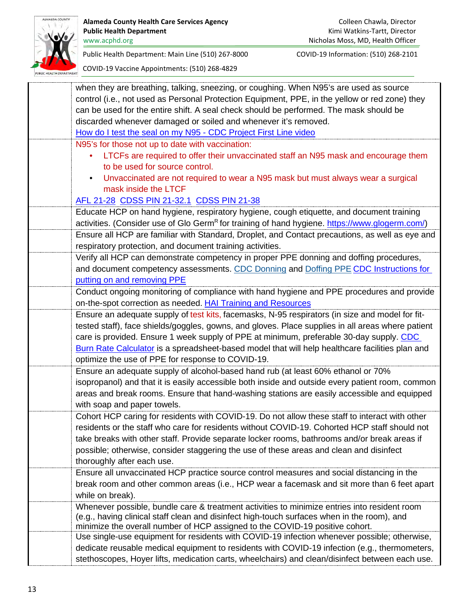

| when they are breathing, talking, sneezing, or coughing. When N95's are used as source                     |
|------------------------------------------------------------------------------------------------------------|
| control (i.e., not used as Personal Protection Equipment, PPE, in the yellow or red zone) they             |
| can be used for the entire shift. A seal check should be performed. The mask should be                     |
| discarded whenever damaged or soiled and whenever it's removed.                                            |
| How do I test the seal on my N95 - CDC Project First Line video                                            |
| N95's for those not up to date with vaccination:                                                           |
| LTCFs are required to offer their unvaccinated staff an N95 mask and encourage them                        |
| to be used for source control.                                                                             |
| Unvaccinated are not required to wear a N95 mask but must always wear a surgical                           |
| mask inside the LTCF                                                                                       |
| AFL 21-28 CDSS PIN 21-32.1 CDSS PIN 21-38                                                                  |
| Educate HCP on hand hygiene, respiratory hygiene, cough etiquette, and document training                   |
| activities. (Consider use of Glo Germ <sup>R</sup> for training of hand hygiene. https://www.glogerm.com/) |
| Ensure all HCP are familiar with Standard, Droplet, and Contact precautions, as well as eye and            |
| respiratory protection, and document training activities.                                                  |
| Verify all HCP can demonstrate competency in proper PPE donning and doffing procedures,                    |
| and document competency assessments. CDC Donning and Doffing PPE CDC Instructions for                      |
| putting on and removing PPE                                                                                |
| Conduct ongoing monitoring of compliance with hand hygiene and PPE procedures and provide                  |
| on-the-spot correction as needed. <b>HAI Training and Resources</b>                                        |
| Ensure an adequate supply of test kits, facemasks, N-95 respirators (in size and model for fit-            |
| tested staff), face shields/goggles, gowns, and gloves. Place supplies in all areas where patient          |
| care is provided. Ensure 1 week supply of PPE at minimum, preferable 30-day supply. CDC                    |
| Burn Rate Calculator is a spreadsheet-based model that will help healthcare facilities plan and            |
| optimize the use of PPE for response to COVID-19.                                                          |
| Ensure an adequate supply of alcohol-based hand rub (at least 60% ethanol or 70%                           |
| isopropanol) and that it is easily accessible both inside and outside every patient room, common           |
| areas and break rooms. Ensure that hand-washing stations are easily accessible and equipped                |
| with soap and paper towels.                                                                                |
| Cohort HCP caring for residents with COVID-19. Do not allow these staff to interact with other             |
| residents or the staff who care for residents without COVID-19. Cohorted HCP staff should not              |
| take breaks with other staff. Provide separate locker rooms, bathrooms and/or break areas if               |
| possible; otherwise, consider staggering the use of these areas and clean and disinfect                    |
| thoroughly after each use.                                                                                 |
| Ensure all unvaccinated HCP practice source control measures and social distancing in the                  |
| break room and other common areas (i.e., HCP wear a facemask and sit more than 6 feet apart                |
| while on break).                                                                                           |
| Whenever possible, bundle care & treatment activities to minimize entries into resident room               |
| (e.g., having clinical staff clean and disinfect high-touch surfaces when in the room), and                |
| minimize the overall number of HCP assigned to the COVID-19 positive cohort.                               |
| Use single-use equipment for residents with COVID-19 infection whenever possible; otherwise,               |
| dedicate reusable medical equipment to residents with COVID-19 infection (e.g., thermometers,              |
| stethoscopes, Hoyer lifts, medication carts, wheelchairs) and clean/disinfect between each use.            |
|                                                                                                            |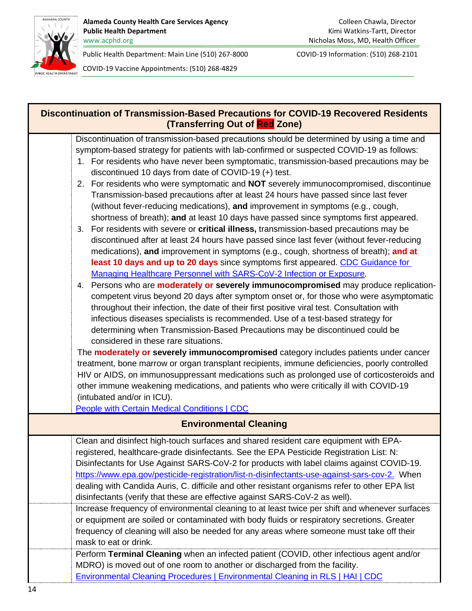

<span id="page-13-1"></span><span id="page-13-0"></span>

| Discontinuation of Transmission-Based Precautions for COVID-19 Recovered Residents<br>(Transferring Out of Red Zone)                                                                                                                                                                                                                                                                                                                                                                                                                                                                                                                                                                                                                                                                                                                                                                                                                                                                                                                                                                                                                                                                                                                                                                                                                                                                                                                    |
|-----------------------------------------------------------------------------------------------------------------------------------------------------------------------------------------------------------------------------------------------------------------------------------------------------------------------------------------------------------------------------------------------------------------------------------------------------------------------------------------------------------------------------------------------------------------------------------------------------------------------------------------------------------------------------------------------------------------------------------------------------------------------------------------------------------------------------------------------------------------------------------------------------------------------------------------------------------------------------------------------------------------------------------------------------------------------------------------------------------------------------------------------------------------------------------------------------------------------------------------------------------------------------------------------------------------------------------------------------------------------------------------------------------------------------------------|
| Discontinuation of transmission-based precautions should be determined by using a time and<br>symptom-based strategy for patients with lab-confirmed or suspected COVID-19 as follows:<br>1. For residents who have never been symptomatic, transmission-based precautions may be<br>discontinued 10 days from date of COVID-19 (+) test.<br>2. For residents who were symptomatic and NOT severely immunocompromised, discontinue<br>Transmission-based precautions after at least 24 hours have passed since last fever<br>(without fever-reducing medications), and improvement in symptoms (e.g., cough,<br>shortness of breath); and at least 10 days have passed since symptoms first appeared.<br>3. For residents with severe or critical illness, transmission-based precautions may be<br>discontinued after at least 24 hours have passed since last fever (without fever-reducing<br>medications), and improvement in symptoms (e.g., cough, shortness of breath); and at<br>least 10 days and up to 20 days since symptoms first appeared. CDC Guidance for<br>Managing Healthcare Personnel with SARS-CoV-2 Infection or Exposure.<br>4. Persons who are <b>moderately or severely immunocompromised</b> may produce replication-<br>competent virus beyond 20 days after symptom onset or, for those who were asymptomatic<br>throughout their infection, the date of their first positive viral test. Consultation with |
| infectious diseases specialists is recommended. Use of a test-based strategy for<br>determining when Transmission-Based Precautions may be discontinued could be<br>considered in these rare situations.<br>The moderately or severely immunocompromised category includes patients under cancer<br>treatment, bone marrow or organ transplant recipients, immune deficiencies, poorly controlled                                                                                                                                                                                                                                                                                                                                                                                                                                                                                                                                                                                                                                                                                                                                                                                                                                                                                                                                                                                                                                       |
| HIV or AIDS, on immunosuppressant medications such as prolonged use of corticosteroids and<br>other immune weakening medications, and patients who were critically ill with COVID-19<br>(intubated and/or in ICU).<br>People with Certain Medical Conditions   CDC                                                                                                                                                                                                                                                                                                                                                                                                                                                                                                                                                                                                                                                                                                                                                                                                                                                                                                                                                                                                                                                                                                                                                                      |
| <b>Environmental Cleaning</b>                                                                                                                                                                                                                                                                                                                                                                                                                                                                                                                                                                                                                                                                                                                                                                                                                                                                                                                                                                                                                                                                                                                                                                                                                                                                                                                                                                                                           |
| Clean and disinfect high-touch surfaces and shared resident care equipment with EPA-<br>registered, healthcare-grade disinfectants. See the EPA Pesticide Registration List: N:<br>Disinfectants for Use Against SARS-CoV-2 for products with label claims against COVID-19.<br>https://www.epa.gov/pesticide-registration/list-n-disinfectants-use-against-sars-cov-2. When<br>dealing with Candida Auris, C. difficile and other resistant organisms refer to other EPA list<br>disinfectants (verify that these are effective against SARS-CoV-2 as well).                                                                                                                                                                                                                                                                                                                                                                                                                                                                                                                                                                                                                                                                                                                                                                                                                                                                           |
| Increase frequency of environmental cleaning to at least twice per shift and whenever surfaces<br>or equipment are soiled or contaminated with body fluids or respiratory secretions. Greater<br>frequency of cleaning will also be needed for any areas where someone must take off their<br>mask to eat or drink.                                                                                                                                                                                                                                                                                                                                                                                                                                                                                                                                                                                                                                                                                                                                                                                                                                                                                                                                                                                                                                                                                                                     |
| Perform Terminal Cleaning when an infected patient (COVID, other infectious agent and/or<br>MDRO) is moved out of one room to another or discharged from the facility.<br><b>Environmental Cleaning Procedures   Environmental Cleaning in RLS   HAI   CDC</b>                                                                                                                                                                                                                                                                                                                                                                                                                                                                                                                                                                                                                                                                                                                                                                                                                                                                                                                                                                                                                                                                                                                                                                          |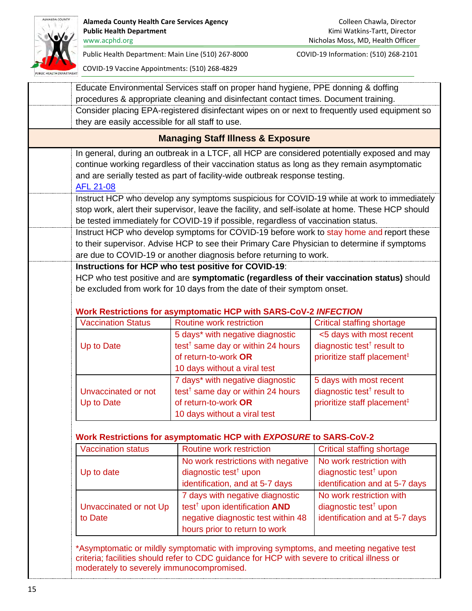

<span id="page-14-0"></span>

| they are easily accessible for all staff to use. |                                                                                                                                                                                                                                                                                                                                                                          |                                                                                                                                      |
|--------------------------------------------------|--------------------------------------------------------------------------------------------------------------------------------------------------------------------------------------------------------------------------------------------------------------------------------------------------------------------------------------------------------------------------|--------------------------------------------------------------------------------------------------------------------------------------|
|                                                  | <b>Managing Staff Illness &amp; Exposure</b>                                                                                                                                                                                                                                                                                                                             |                                                                                                                                      |
| <b>AFL 21-08</b>                                 | In general, during an outbreak in a LTCF, all HCP are considered potentially exposed and may<br>continue working regardless of their vaccination status as long as they remain asymptomatic<br>and are serially tested as part of facility-wide outbreak response testing.<br>Instruct HCP who develop any symptoms suspicious for COVID-19 while at work to immediately |                                                                                                                                      |
|                                                  | stop work, alert their supervisor, leave the facility, and self-isolate at home. These HCP should<br>be tested immediately for COVID-19 if possible, regardless of vaccination status.                                                                                                                                                                                   |                                                                                                                                      |
|                                                  | Instruct HCP who develop symptoms for COVID-19 before work to stay home and report these<br>to their supervisor. Advise HCP to see their Primary Care Physician to determine if symptoms<br>are due to COVID-19 or another diagnosis before returning to work.                                                                                                           |                                                                                                                                      |
|                                                  | Instructions for HCP who test positive for COVID-19:<br>HCP who test positive and are symptomatic (regardless of their vaccination status) should<br>be excluded from work for 10 days from the date of their symptom onset.                                                                                                                                             |                                                                                                                                      |
| <b>Vaccination Status</b>                        | <b>Work Restrictions for asymptomatic HCP with SARS-CoV-2 INFECTION</b><br>Routine work restriction                                                                                                                                                                                                                                                                      | <b>Critical staffing shortage</b>                                                                                                    |
| Up to Date                                       | 5 days* with negative diagnostic<br>test <sup>†</sup> same day or within 24 hours<br>of return-to-work OR<br>10 days without a viral test                                                                                                                                                                                                                                | <5 days with most recent<br>diagnostic test <sup>†</sup> result to<br>prioritize staff placement <sup>#</sup>                        |
| Unvaccinated or not                              | 7 days* with negative diagnostic<br>test <sup>†</sup> same day or within 24 hours<br>of return-to-work OR<br>10 days without a viral test                                                                                                                                                                                                                                | 5 days with most recent<br>diagnostic test <sup><math>\dagger</math></sup> result to<br>prioritize staff placement <sup>#</sup>      |
| Up to Date                                       |                                                                                                                                                                                                                                                                                                                                                                          |                                                                                                                                      |
|                                                  |                                                                                                                                                                                                                                                                                                                                                                          |                                                                                                                                      |
| <b>Vaccination status</b>                        | Work Restrictions for asymptomatic HCP with EXPOSURE to SARS-CoV-2<br><b>Routine work restriction</b>                                                                                                                                                                                                                                                                    |                                                                                                                                      |
| Up to date                                       | No work restrictions with negative<br>diagnostic test <sup>†</sup> upon<br>identification, and at 5-7 days                                                                                                                                                                                                                                                               | <b>Critical staffing shortage</b><br>No work restriction with<br>diagnostic test <sup>†</sup> upon<br>identification and at 5-7 days |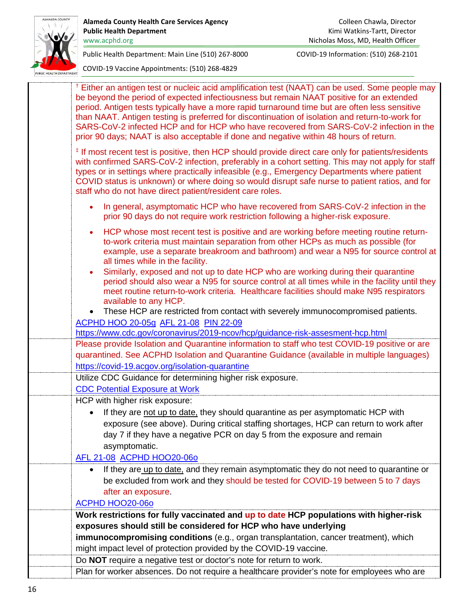

| <sup>†</sup> Either an antigen test or nucleic acid amplification test (NAAT) can be used. Some people may<br>be beyond the period of expected infectiousness but remain NAAT positive for an extended<br>period. Antigen tests typically have a more rapid turnaround time but are often less sensitive<br>than NAAT. Antigen testing is preferred for discontinuation of isolation and return-to-work for<br>SARS-CoV-2 infected HCP and for HCP who have recovered from SARS-CoV-2 infection in the<br>prior 90 days; NAAT is also acceptable if done and negative within 48 hours of return. |
|--------------------------------------------------------------------------------------------------------------------------------------------------------------------------------------------------------------------------------------------------------------------------------------------------------------------------------------------------------------------------------------------------------------------------------------------------------------------------------------------------------------------------------------------------------------------------------------------------|
| <sup>‡</sup> If most recent test is positive, then HCP should provide direct care only for patients/residents<br>with confirmed SARS-CoV-2 infection, preferably in a cohort setting. This may not apply for staff<br>types or in settings where practically infeasible (e.g., Emergency Departments where patient<br>COVID status is unknown) or where doing so would disrupt safe nurse to patient ratios, and for<br>staff who do not have direct patient/resident care roles.                                                                                                                |
| In general, asymptomatic HCP who have recovered from SARS-CoV-2 infection in the<br>prior 90 days do not require work restriction following a higher-risk exposure.                                                                                                                                                                                                                                                                                                                                                                                                                              |
| HCP whose most recent test is positive and are working before meeting routine return-<br>$\bullet$<br>to-work criteria must maintain separation from other HCPs as much as possible (for<br>example, use a separate breakroom and bathroom) and wear a N95 for source control at<br>all times while in the facility.                                                                                                                                                                                                                                                                             |
| Similarly, exposed and not up to date HCP who are working during their quarantine<br>period should also wear a N95 for source control at all times while in the facility until they<br>meet routine return-to-work criteria. Healthcare facilities should make N95 respirators<br>available to any HCP.                                                                                                                                                                                                                                                                                          |
| These HCP are restricted from contact with severely immunocompromised patients.<br>ACPHD HOO 20-05g AFL 21-08 PIN 22-09                                                                                                                                                                                                                                                                                                                                                                                                                                                                          |
| https://www.cdc.gov/coronavirus/2019-ncov/hcp/guidance-risk-assesment-hcp.html                                                                                                                                                                                                                                                                                                                                                                                                                                                                                                                   |
| Please provide Isolation and Quarantine information to staff who test COVID-19 positive or are                                                                                                                                                                                                                                                                                                                                                                                                                                                                                                   |
| quarantined. See ACPHD Isolation and Quarantine Guidance (available in multiple languages)<br>https://covid-19.acgov.org/isolation-quarantine                                                                                                                                                                                                                                                                                                                                                                                                                                                    |
| Utilize CDC Guidance for determining higher risk exposure.                                                                                                                                                                                                                                                                                                                                                                                                                                                                                                                                       |
| <b>CDC Potential Exposure at Work</b>                                                                                                                                                                                                                                                                                                                                                                                                                                                                                                                                                            |
| HCP with higher risk exposure:                                                                                                                                                                                                                                                                                                                                                                                                                                                                                                                                                                   |
| If they are not up to date, they should quarantine as per asymptomatic HCP with                                                                                                                                                                                                                                                                                                                                                                                                                                                                                                                  |
| exposure (see above). During critical staffing shortages, HCP can return to work after                                                                                                                                                                                                                                                                                                                                                                                                                                                                                                           |
| day 7 if they have a negative PCR on day 5 from the exposure and remain                                                                                                                                                                                                                                                                                                                                                                                                                                                                                                                          |
| asymptomatic.                                                                                                                                                                                                                                                                                                                                                                                                                                                                                                                                                                                    |
| AFL 21-08 ACPHD HOO20-060                                                                                                                                                                                                                                                                                                                                                                                                                                                                                                                                                                        |
| If they are up to date, and they remain asymptomatic they do not need to quarantine or<br>$\bullet$<br>be excluded from work and they should be tested for COVID-19 between 5 to 7 days                                                                                                                                                                                                                                                                                                                                                                                                          |
| after an exposure.                                                                                                                                                                                                                                                                                                                                                                                                                                                                                                                                                                               |
| <b>ACPHD HOO20-060</b>                                                                                                                                                                                                                                                                                                                                                                                                                                                                                                                                                                           |
| Work restrictions for fully vaccinated and up to date HCP populations with higher-risk                                                                                                                                                                                                                                                                                                                                                                                                                                                                                                           |
| exposures should still be considered for HCP who have underlying                                                                                                                                                                                                                                                                                                                                                                                                                                                                                                                                 |
| immunocompromising conditions (e.g., organ transplantation, cancer treatment), which                                                                                                                                                                                                                                                                                                                                                                                                                                                                                                             |
| might impact level of protection provided by the COVID-19 vaccine.                                                                                                                                                                                                                                                                                                                                                                                                                                                                                                                               |
| Do NOT require a negative test or doctor's note for return to work.                                                                                                                                                                                                                                                                                                                                                                                                                                                                                                                              |
| Plan for worker absences. Do not require a healthcare provider's note for employees who are                                                                                                                                                                                                                                                                                                                                                                                                                                                                                                      |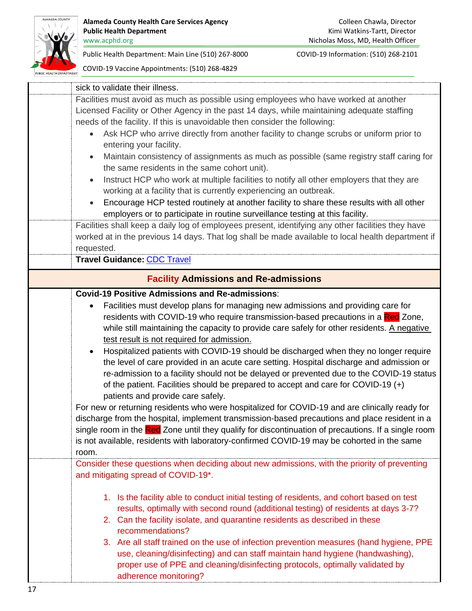

Nicholas Moss, MD, Health Officer

Public Health Department: Main Line (510) 267-8000 COVID-19 Information: (510) 268-2101

<span id="page-16-0"></span>

| sick to validate their illness.                                                                        |
|--------------------------------------------------------------------------------------------------------|
| Facilities must avoid as much as possible using employees who have worked at another                   |
| Licensed Facility or Other Agency in the past 14 days, while maintaining adequate staffing             |
| needs of the facility. If this is unavoidable then consider the following:                             |
| Ask HCP who arrive directly from another facility to change scrubs or uniform prior to                 |
| entering your facility.                                                                                |
| Maintain consistency of assignments as much as possible (same registry staff caring for<br>$\bullet$   |
| the same residents in the same cohort unit).                                                           |
| Instruct HCP who work at multiple facilities to notify all other employers that they are<br>$\bullet$  |
| working at a facility that is currently experiencing an outbreak.                                      |
| Encourage HCP tested routinely at another facility to share these results with all other<br>$\bullet$  |
| employers or to participate in routine surveillance testing at this facility.                          |
| Facilities shall keep a daily log of employees present, identifying any other facilities they have     |
| worked at in the previous 14 days. That log shall be made available to local health department if      |
| requested.                                                                                             |
| <b>Travel Guidance: CDC Travel</b>                                                                     |
| <b>Facility Admissions and Re-admissions</b>                                                           |
| <b>Covid-19 Positive Admissions and Re-admissions:</b>                                                 |
| Facilities must develop plans for managing new admissions and providing care for<br>$\bullet$          |
| residents with COVID-19 who require transmission-based precautions in a Red Zone,                      |
| while still maintaining the capacity to provide care safely for other residents. A negative            |
| test result is not required for admission.                                                             |
| Hospitalized patients with COVID-19 should be discharged when they no longer require<br>$\bullet$      |
| the level of care provided in an acute care setting. Hospital discharge and admission or               |
| re-admission to a facility should not be delayed or prevented due to the COVID-19 status               |
| of the patient. Facilities should be prepared to accept and care for COVID-19 (+)                      |
| patients and provide care safely.                                                                      |
| For new or returning residents who were hospitalized for COVID-19 and are clinically ready for         |
| discharge from the hospital, implement transmission-based precautions and place resident in a          |
| single room in the Red Zone until they qualify for discontinuation of precautions. If a single room    |
| is not available, residents with laboratory-confirmed COVID-19 may be cohorted in the same             |
| room.                                                                                                  |
| Consider these questions when deciding about new admissions, with the priority of preventing           |
| and mitigating spread of COVID-19*.                                                                    |
| 1. Is the facility able to conduct initial testing of residents, and cohort based on test              |
| results, optimally with second round (additional testing) of residents at days 3-7?                    |
| 2. Can the facility isolate, and quarantine residents as described in these                            |
| recommendations?                                                                                       |
| 3. Are all staff trained on the use of infection prevention measures (hand hygiene, PPE                |
| use, cleaning/disinfecting) and can staff maintain hand hygiene (handwashing),                         |
|                                                                                                        |
|                                                                                                        |
| proper use of PPE and cleaning/disinfecting protocols, optimally validated by<br>adherence monitoring? |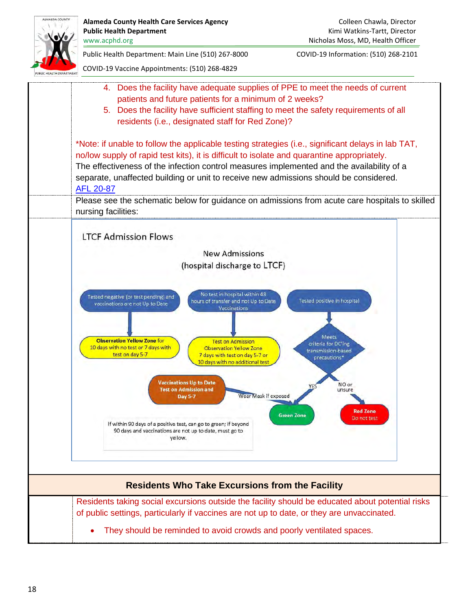<span id="page-17-0"></span>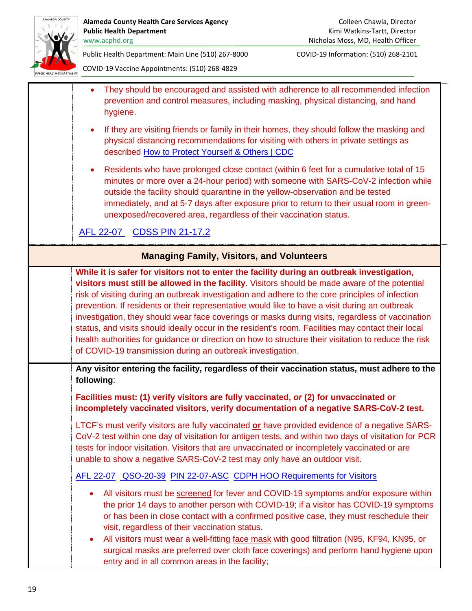

Public Health Department: Main Line (510) 267-8000 COVID-19 Information: (510) 268-2101

<span id="page-18-0"></span>

| They should be encouraged and assisted with adherence to all recommended infection<br>prevention and control measures, including masking, physical distancing, and hand<br>hygiene.                                                                                                                                                                                                                                                                                                                                                                                                                                                                                                                                                                                                |
|------------------------------------------------------------------------------------------------------------------------------------------------------------------------------------------------------------------------------------------------------------------------------------------------------------------------------------------------------------------------------------------------------------------------------------------------------------------------------------------------------------------------------------------------------------------------------------------------------------------------------------------------------------------------------------------------------------------------------------------------------------------------------------|
| If they are visiting friends or family in their homes, they should follow the masking and<br>physical distancing recommendations for visiting with others in private settings as<br>described How to Protect Yourself & Others   CDC                                                                                                                                                                                                                                                                                                                                                                                                                                                                                                                                               |
| Residents who have prolonged close contact (within 6 feet for a cumulative total of 15<br>$\bullet$<br>minutes or more over a 24-hour period) with someone with SARS-CoV-2 infection while<br>outside the facility should quarantine in the yellow-observation and be tested<br>immediately, and at 5-7 days after exposure prior to return to their usual room in green-<br>unexposed/recovered area, regardless of their vaccination status.                                                                                                                                                                                                                                                                                                                                     |
| AFL 22-07 CDSS PIN 21-17.2                                                                                                                                                                                                                                                                                                                                                                                                                                                                                                                                                                                                                                                                                                                                                         |
| <b>Managing Family, Visitors, and Volunteers</b>                                                                                                                                                                                                                                                                                                                                                                                                                                                                                                                                                                                                                                                                                                                                   |
| While it is safer for visitors not to enter the facility during an outbreak investigation,<br>visitors must still be allowed in the facility. Visitors should be made aware of the potential<br>risk of visiting during an outbreak investigation and adhere to the core principles of infection<br>prevention. If residents or their representative would like to have a visit during an outbreak<br>investigation, they should wear face coverings or masks during visits, regardless of vaccination<br>status, and visits should ideally occur in the resident's room. Facilities may contact their local<br>health authorities for guidance or direction on how to structure their visitation to reduce the risk<br>of COVID-19 transmission during an outbreak investigation. |
| Any visitor entering the facility, regardless of their vaccination status, must adhere to the<br>following:                                                                                                                                                                                                                                                                                                                                                                                                                                                                                                                                                                                                                                                                        |
| Facilities must: (1) verify visitors are fully vaccinated, or (2) for unvaccinated or<br>incompletely vaccinated visitors, verify documentation of a negative SARS-CoV-2 test.                                                                                                                                                                                                                                                                                                                                                                                                                                                                                                                                                                                                     |
| LTCF's must verify visitors are fully vaccinated or have provided evidence of a negative SARS-<br>CoV-2 test within one day of visitation for antigen tests, and within two days of visitation for PCR<br>tests for indoor visitation. Visitors that are unvaccinated or incompletely vaccinated or are<br>unable to show a negative SARS-CoV-2 test may only have an outdoor visit.                                                                                                                                                                                                                                                                                                                                                                                               |
| AFL 22-07 QSO-20-39 PIN 22-07-ASC CDPH HOO Requirements for Visitors                                                                                                                                                                                                                                                                                                                                                                                                                                                                                                                                                                                                                                                                                                               |
| All visitors must be screened for fever and COVID-19 symptoms and/or exposure within<br>$\bullet$<br>the prior 14 days to another person with COVID-19; if a visitor has COVID-19 symptoms<br>or has been in close contact with a confirmed positive case, they must reschedule their<br>visit, regardless of their vaccination status.<br>All visitors must wear a well-fitting face mask with good filtration (N95, KF94, KN95, or<br>surgical masks are preferred over cloth face coverings) and perform hand hygiene upon<br>entry and in all common areas in the facility;                                                                                                                                                                                                    |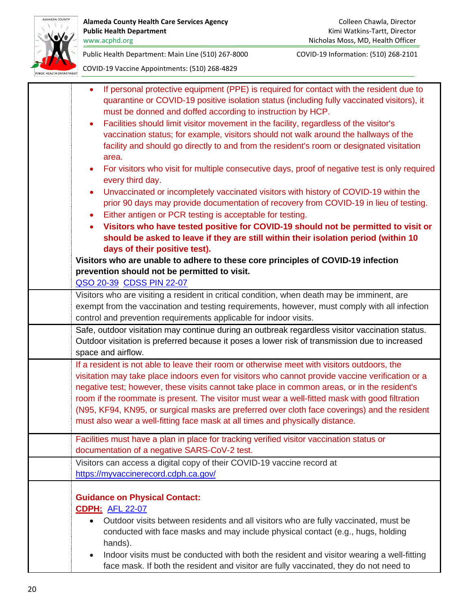

| If personal protective equipment (PPE) is required for contact with the resident due to<br>$\bullet$<br>quarantine or COVID-19 positive isolation status (including fully vaccinated visitors), it<br>must be donned and doffed according to instruction by HCP.<br>Facilities should limit visitor movement in the facility, regardless of the visitor's<br>$\bullet$<br>vaccination status; for example, visitors should not walk around the hallways of the<br>facility and should go directly to and from the resident's room or designated visitation<br>area.<br>For visitors who visit for multiple consecutive days, proof of negative test is only required<br>$\bullet$<br>every third day.<br>Unvaccinated or incompletely vaccinated visitors with history of COVID-19 within the<br>٠<br>prior 90 days may provide documentation of recovery from COVID-19 in lieu of testing. |
|---------------------------------------------------------------------------------------------------------------------------------------------------------------------------------------------------------------------------------------------------------------------------------------------------------------------------------------------------------------------------------------------------------------------------------------------------------------------------------------------------------------------------------------------------------------------------------------------------------------------------------------------------------------------------------------------------------------------------------------------------------------------------------------------------------------------------------------------------------------------------------------------|
| Either antigen or PCR testing is acceptable for testing.<br>٠                                                                                                                                                                                                                                                                                                                                                                                                                                                                                                                                                                                                                                                                                                                                                                                                                               |
| Visitors who have tested positive for COVID-19 should not be permitted to visit or<br>should be asked to leave if they are still within their isolation period (within 10<br>days of their positive test).                                                                                                                                                                                                                                                                                                                                                                                                                                                                                                                                                                                                                                                                                  |
| Visitors who are unable to adhere to these core principles of COVID-19 infection                                                                                                                                                                                                                                                                                                                                                                                                                                                                                                                                                                                                                                                                                                                                                                                                            |
| prevention should not be permitted to visit.                                                                                                                                                                                                                                                                                                                                                                                                                                                                                                                                                                                                                                                                                                                                                                                                                                                |
| QSO 20-39 CDSS PIN 22-07                                                                                                                                                                                                                                                                                                                                                                                                                                                                                                                                                                                                                                                                                                                                                                                                                                                                    |
| Visitors who are visiting a resident in critical condition, when death may be imminent, are<br>exempt from the vaccination and testing requirements, however, must comply with all infection<br>control and prevention requirements applicable for indoor visits.                                                                                                                                                                                                                                                                                                                                                                                                                                                                                                                                                                                                                           |
| Safe, outdoor visitation may continue during an outbreak regardless visitor vaccination status.<br>Outdoor visitation is preferred because it poses a lower risk of transmission due to increased<br>space and airflow.                                                                                                                                                                                                                                                                                                                                                                                                                                                                                                                                                                                                                                                                     |
| If a resident is not able to leave their room or otherwise meet with visitors outdoors, the<br>visitation may take place indoors even for visitors who cannot provide vaccine verification or a<br>negative test; however, these visits cannot take place in common areas, or in the resident's<br>room if the roommate is present. The visitor must wear a well-fitted mask with good filtration<br>(N95, KF94, KN95, or surgical masks are preferred over cloth face coverings) and the resident<br>must also wear a well-fitting face mask at all times and physically distance.                                                                                                                                                                                                                                                                                                         |
| Facilities must have a plan in place for tracking verified visitor vaccination status or<br>documentation of a negative SARS-CoV-2 test.                                                                                                                                                                                                                                                                                                                                                                                                                                                                                                                                                                                                                                                                                                                                                    |
| Visitors can access a digital copy of their COVID-19 vaccine record at<br>https://myvaccinerecord.cdph.ca.gov/                                                                                                                                                                                                                                                                                                                                                                                                                                                                                                                                                                                                                                                                                                                                                                              |
| <b>Guidance on Physical Contact:</b><br><b>CDPH: AFL 22-07</b><br>Outdoor visits between residents and all visitors who are fully vaccinated, must be<br>$\bullet$<br>conducted with face masks and may include physical contact (e.g., hugs, holding<br>hands).<br>Indoor visits must be conducted with both the resident and visitor wearing a well-fitting<br>$\bullet$<br>face mask. If both the resident and visitor are fully vaccinated, they do not need to                                                                                                                                                                                                                                                                                                                                                                                                                         |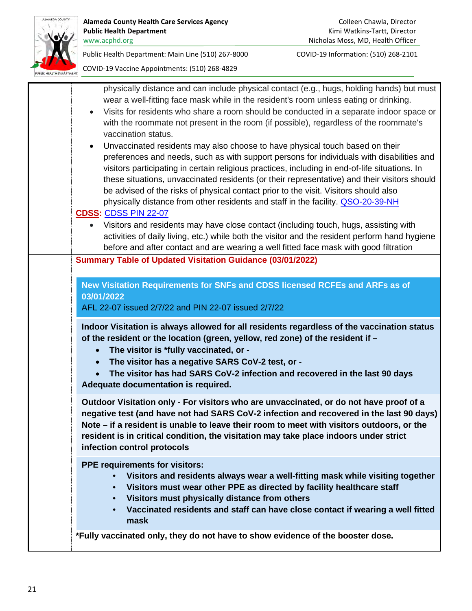

| physically distance and can include physical contact (e.g., hugs, holding hands) but must                       |
|-----------------------------------------------------------------------------------------------------------------|
| wear a well-fitting face mask while in the resident's room unless eating or drinking.                           |
| Visits for residents who share a room should be conducted in a separate indoor space or<br>$\bullet$            |
| with the roommate not present in the room (if possible), regardless of the roommate's                           |
| vaccination status.                                                                                             |
| Unvaccinated residents may also choose to have physical touch based on their<br>$\bullet$                       |
| preferences and needs, such as with support persons for individuals with disabilities and                       |
| visitors participating in certain religious practices, including in end-of-life situations. In                  |
| these situations, unvaccinated residents (or their representative) and their visitors should                    |
| be advised of the risks of physical contact prior to the visit. Visitors should also                            |
| physically distance from other residents and staff in the facility. QSO-20-39-NH<br><b>CDSS: CDSS PIN 22-07</b> |
| • Visitors and residents may have close contact (including touch, hugs, assisting with                          |
| activities of daily living, etc.) while both the visitor and the resident perform hand hygiene                  |
| before and after contact and are wearing a well fitted face mask with good filtration                           |
| <b>Summary Table of Updated Visitation Guidance (03/01/2022)</b>                                                |
|                                                                                                                 |
| New Visitation Requirements for SNFs and CDSS licensed RCFEs and ARFs as of                                     |
| 03/01/2022                                                                                                      |
|                                                                                                                 |
| AFL 22-07 issued 2/7/22 and PIN 22-07 issued 2/7/22                                                             |
|                                                                                                                 |
| Indoor Visitation is always allowed for all residents regardless of the vaccination status                      |
| of the resident or the location (green, yellow, red zone) of the resident if -                                  |
| The visitor is *fully vaccinated, or -<br>$\bullet$                                                             |
| The visitor has a negative SARS CoV-2 test, or -<br>$\bullet$                                                   |
| The visitor has had SARS CoV-2 infection and recovered in the last 90 days                                      |
| Adequate documentation is required.                                                                             |
| Outdoor Visitation only - For visitors who are unvaccinated, or do not have proof of a                          |
| negative test (and have not had SARS CoV-2 infection and recovered in the last 90 days)                         |
| Note – if a resident is unable to leave their room to meet with visitors outdoors, or the                       |
| resident is in critical condition, the visitation may take place indoors under strict                           |
| infection control protocols                                                                                     |
| <b>PPE requirements for visitors:</b>                                                                           |
| Visitors and residents always wear a well-fitting mask while visiting together<br>$\bullet$                     |
| Visitors must wear other PPE as directed by facility healthcare staff<br>$\bullet$                              |
| Visitors must physically distance from others<br>$\bullet$                                                      |
| Vaccinated residents and staff can have close contact if wearing a well fitted<br>$\bullet$                     |
| mask                                                                                                            |
| *Fully vaccinated only, they do not have to show evidence of the booster dose.                                  |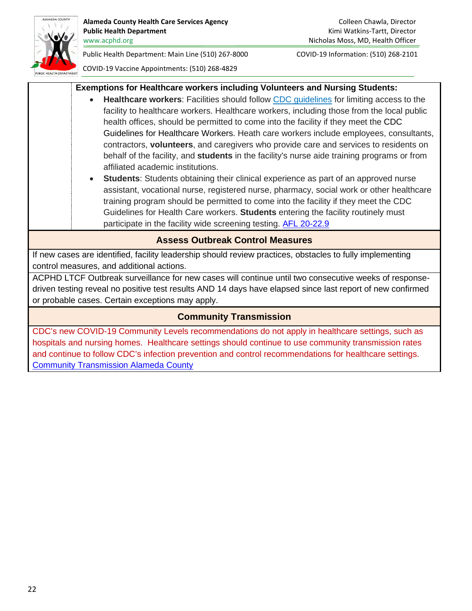

<span id="page-21-2"></span><span id="page-21-1"></span><span id="page-21-0"></span>hospitals and nursing homes. Healthcare settings should continue to use community transmission rates and continue to follow CDC's infection prevention and control recommendations for healthcare settings. [Community Transmission Alameda County](https://covid.cdc.gov/covid-data-tracker/#county-view?list_select_state=California&data-type=Risk&list_select_county=6001)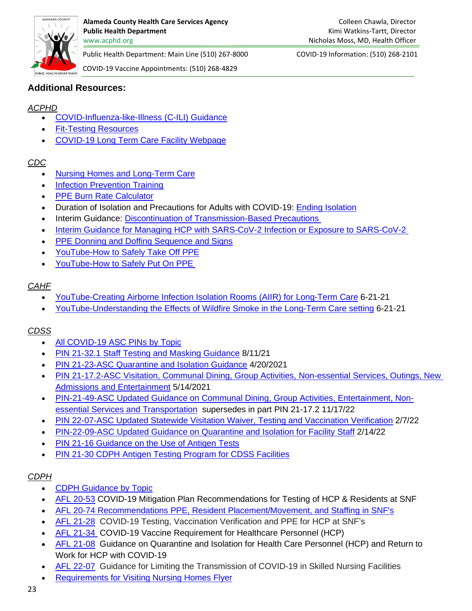

COVID-19 Vaccine Appointments: (510) 268-4829

## **Additional Resources:**

## *ACPHD*

- [COVID-Influenza-like-Illness \(C-ILI\) Guidance](https://covid-19.acgov.org/covid19-assets/docs/clinical-guidance/c-ili-packet-for-facilities-2021.11.23.pdf)
- [Fit-Testing Resources](https://covid-19.acgov.org/covid19-assets/docs/clinical-guidance/ltcf-respiratory-resources-2021.06.02.pdf)
- [COVID-19 Long Term Care Facility Webpage](https://covid-19.acgov.org/ltcf)

## *CDC*

- [Nursing Homes and Long-Term Care](https://www.cdc.gov/coronavirus/2019-ncov/hcp/nursing-home-long-term-care.html)
- [Infection Prevention Training](https://www.cdc.gov/longtermcare/training.html)
- [PPE Burn Rate Calculator](https://www.cdc.gov/coronavirus/2019-ncov/hcp/ppe-strategy/burn-calculator.html)
- Duration of Isolation and Precautions for Adults with COVID-19: [Ending Isolation](https://www.cdc.gov/coronavirus/2019-ncov/hcp/duration-isolation.html)
- Interim Guidance: [Discontinuation of Transmission-Based Precautions](https://www.cdc.gov/coronavirus/2019-ncov/hcp/disposition-hospitalized-patients.html)
- [Interim Guidance for Managing HCP with SARS-CoV-2 Infection or Exposure to SARS-CoV-2](https://www.cdc.gov/coronavirus/2019-ncov/hcp/guidance-risk-assesment-hcp.html)
- [PPE Donning and Doffing Sequence and Signs](https://www.cdc.gov/niosh/npptl/pdfs/PPE-Sequence-508.pdf)
- [YouTube-How to Safely Take Off PPE](https://www.youtube.com/watch?v=PQxOc13DxvQ)
- [YouTube-How to Safely Put On PPE](https://youtu.be/H4jQUBAlBrI)

# *CAHF*

- [YouTube-Creating Airborne Infection Isolation Rooms \(AIIR\) for Long-Term Care](https://www.youtube.com/watch?v=QeopCD98Ksw) 6-21-21
- [YouTube-Understanding the Effects of Wildfire Smoke in the Long-Term Care setting](https://www.youtube.com/watch?v=qjfqc3G3d5o) 6-21-21

# *CDSS*

- [All COVID-19 ASC PINs by Topic](https://cdss.ca.gov/inforesources/cdss-programs/community-care-licensing/covid-19-information-and-resources/covid-19-asc-pins)
- [PIN 21-32.1 Staff Testing and Masking Guidance](https://cdss.ca.gov/Portals/9/CCLD/PINs/2021/ASC/PIN-21-32-1-ASC.pdf) 8/11/21
- [PIN 21-23-ASC Quarantine and Isolation Guidance](https://www.cdss.ca.gov/Portals/9/CCLD/PINs/2021/ASC/PIN-21-23-ASC.pdf) 4/20/2021
- [PIN 21-17.2-ASC Visitation, Communal Dining, Group Activities, Non-essential Services, Outings, New](https://www.cdss.ca.gov/Portals/9/CCLD/PINs/2021/ASC/PIN-21-17-2-ASC.pdf) [Admissions and Entertainment](https://www.cdss.ca.gov/Portals/9/CCLD/PINs/2021/ASC/PIN-21-17-2-ASC.pdf) 5/14/2021
- [PIN-21-49-ASC Updated Guidance on Communal Dining, Group Activities, Entertainment, Non](https://cdss.ca.gov/Portals/9/CCLD/PINs/2021/ASC/PIN-21-49-ASC.pdf)[essential Services and Transportation](https://cdss.ca.gov/Portals/9/CCLD/PINs/2021/ASC/PIN-21-49-ASC.pdf) supersedes in part PIN 21-17.2 11/17/22
- PIN 22-07-ASC Updated Statewide [Visitation Waiver, Testing and Vaccination Verification](https://cdss.ca.gov/Portals/9/CCLD/PINs/2022/ASC/PIN-22-07-ASC.pdf) 2/7/22
- [PIN-22-09-ASC Updated Guidance on Quarantine](https://cdss.ca.gov/Portals/9/CCLD/PINs/2022/ASC/PIN-22-09-ASC.pdf) and Isolation for Facility Staff 2/14/22
- [PIN 21-16 Guidance on the Use of Antigen Tests](https://www.cdss.ca.gov/Portals/9/CCLD/PINs/2021/ASC/PIN-21-16-ASC.pdf)
- [PIN 21-30 CDPH Antigen Testing Program for CDSS Facilities](https://cdss.ca.gov/Portals/9/CCLD/PINs/2021/ASC/PIN-21-30-ASC.pdf)

# *CDPH*

- **[CDPH Guidance by Topic](https://www.cdph.ca.gov/Programs/CID/DCDC/Pages/Guidance.aspx)**
- [AFL 20-53](https://www.cdph.ca.gov/Programs/CHCQ/LCP/Pages/AFL-20-53.aspx) COVID-19 Mitigation Plan Recommendations for Testing of HCP & Residents at SNF
- [AFL 20-74 Recommendations PPE, Resident Placement/Movement, and Staffing in SNF's](https://www.cdph.ca.gov/Programs/CHCQ/LCP/Pages/AFL-20-74.aspx)
- [AFL 21-28](https://www.cdph.ca.gov/Programs/CHCQ/LCP/Pages/AFL-21-28.aspx) COVID-19 Testing, Vaccination Verification and PPE for HCP at SNF's
- [AFL 21-34](https://www.cdph.ca.gov/Programs/CHCQ/LCP/Pages/AFL-21-34.aspx) COVID-19 Vaccine Requirement for Healthcare Personnel (HCP)
- [AFL 21-08](https://www.cdph.ca.gov/programs/chcq/lcp/pages/afl-21-08.aspx) Guidance on Quarantine and Isolation for Health Care Personnel (HCP) and Return to Work for HCP with COVID-19
- [AFL 22-07](https://www.cdph.ca.gov/Programs/CHCQ/LCP/Pages/AFL-22-07.aspx) Guidance for Limiting the Transmission of COVID-19 in Skilled Nursing Facilities
- [Requirements for Visiting Nursing Homes Flyer](https://www.cdph.ca.gov/Programs/OPA/CDPH%20Document%20Library/Toolkits/hospital-visitation/Requirements-for-Visitors-in-Health-Settings.pdf)